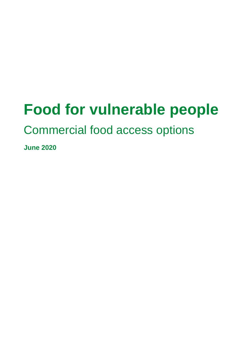# **Food for vulnerable people**

#### Commercial food access options

**June 2020**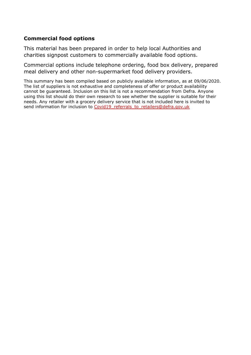#### **Commercial food options**

This material has been prepared in order to help local Authorities and charities signpost customers to commercially available food options.

Commercial options include telephone ordering, food box delivery, prepared meal delivery and other non-supermarket food delivery providers.

This summary has been compiled based on publicly available information, as at 09/06/2020. The list of suppliers is not exhaustive and completeness of offer or product availability cannot be guaranteed. Inclusion on this list is not a recommendation from Defra. Anyone using this list should do their own research to see whether the supplier is suitable for their needs. Any retailer with a grocery delivery service that is not included here is invited to send information for inclusion to [Covid19\\_referrals\\_to\\_retailers@defra.gov.uk](mailto:Covid19_referrals_to_retailers@defra.gov.uk)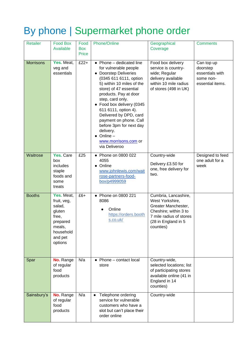#### By phone | Supermarket phone order

| Retailer         | <b>Food Box</b><br>Available                                                                                    | Food<br><b>Box</b><br>Price | Phone/Online                                                                                                                                                                                                                                                                                                                                                                                                               | Geographical<br>Coverage                                                                                                                               | <b>Comments</b>                                                            |
|------------------|-----------------------------------------------------------------------------------------------------------------|-----------------------------|----------------------------------------------------------------------------------------------------------------------------------------------------------------------------------------------------------------------------------------------------------------------------------------------------------------------------------------------------------------------------------------------------------------------------|--------------------------------------------------------------------------------------------------------------------------------------------------------|----------------------------------------------------------------------------|
| <b>Morrisons</b> | Yes. Meat,<br>veg and<br>essentials                                                                             | $£22+$                      | $\bullet$ Phone – dedicated line<br>for vulnerable people<br><b>Doorstep Deliveries</b><br>(0345 611 6111, option<br>5) within 10 miles of the<br>store) of 47 essential<br>products. Pay at door<br>step, card only.<br>• Food box delivery (0345<br>611 6111, option 4).<br>Delivered by DPD, card<br>payment on phone. Call<br>before 3pm for next day<br>delivery.<br>Online-<br>www.morrisons.com or<br>via Deliveroo | Food box delivery<br>service is country-<br>wide; Regular<br>delivery available<br>within 10 mile radius<br>of stores (498 in UK)                      | Can top up<br>doorstep<br>essentials with<br>some non-<br>essential items. |
| Waitrose         | Yes. Care<br>box<br>includes<br>staple<br>foods and<br>some<br>treats                                           | £25                         | Phone on 0800 022<br>4055<br>Online<br>www.johnlewis.com/wait<br>rose-partners-food-<br>box/p4999059                                                                                                                                                                                                                                                                                                                       | Country-wide<br>Delivery £3.50 for<br>one, free delivery for<br>two.                                                                                   | Designed to feed<br>one adult for a<br>week                                |
| <b>Booths</b>    | Yes. Meat,<br>fruit, veg,<br>salad,<br>gluten<br>free,<br>prepared<br>meals,<br>household<br>and pet<br>options | $£6+$                       | • Phone on 0800 221<br>8086<br>Online<br>https://orders.booth<br>s.co.uk/                                                                                                                                                                                                                                                                                                                                                  | Cumbria, Lancashire,<br>West Yorkshire,<br>Greater Manchester,<br>Cheshire; within 3 to<br>7 mile radius of stores<br>(28 in England in 5<br>counties) |                                                                            |
| Spar             | No. Range<br>of regular<br>food<br>products                                                                     | N/a                         | Phone - contact local<br>store                                                                                                                                                                                                                                                                                                                                                                                             | Country-wide,<br>selected locations; list<br>of participating stores<br>available online (41 in<br>England in 14<br>counties)                          |                                                                            |
| Sainsbury's      | No. Range<br>of regular<br>food<br>products                                                                     | N/a                         | Telephone ordering<br>$\bullet$<br>service for vulnerable<br>customers who have a<br>slot but can't place their<br>order online                                                                                                                                                                                                                                                                                            | Country-wide                                                                                                                                           |                                                                            |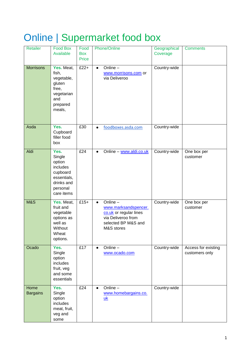### Online | Supermarket food box

| <b>Retailer</b>         | <b>Food Box</b><br>Available                                                                            | Food<br><b>Box</b><br>Price | Phone/Online                                                                                                                      | Geographical<br>Coverage | <b>Comments</b>                       |
|-------------------------|---------------------------------------------------------------------------------------------------------|-----------------------------|-----------------------------------------------------------------------------------------------------------------------------------|--------------------------|---------------------------------------|
| <b>Morrisons</b>        | Yes. Meat,<br>fish,<br>vegetable,<br>gluten<br>free,<br>vegetarian<br>and<br>prepared<br>meals,         | $£22+$                      | Online-<br>$\bullet$<br>www.morrisons.com or<br>via Deliveroo                                                                     | Country-wide             |                                       |
| Asda                    | Yes.<br>Cupboard<br>filler food<br>box                                                                  | £30                         | foodboxes.asda.com<br>$\bullet$                                                                                                   | Country-wide             |                                       |
| Aldi                    | Yes.<br>Single<br>option<br>includes<br>cupboard<br>essentials,<br>drinks and<br>personal<br>care items | E24                         | Online - www.aldi.co.uk<br>$\bullet$                                                                                              | Country-wide             | One box per<br>customer               |
| <b>M&amp;S</b>          | Yes. Meat,<br>fruit and<br>vegetable<br>options as<br>well as<br>Without<br>Wheat<br>options.           | $£15+$                      | Online-<br>$\bullet$<br>www.marksandspencer.<br>co.uk or regular lines<br>via Deliveroo from<br>selected BP M&S and<br>M&S stores | Country-wide             | One box per<br>customer               |
| Ocado                   | Yes.<br>Single<br>option<br>includes<br>fruit, veg<br>and some<br>essentials                            | E17                         | Online-<br>$\bullet$<br>www.ocado.com                                                                                             | Country-wide             | Access for existing<br>customers only |
| Home<br><b>Bargains</b> | Yes.<br>Single<br>option<br>includes<br>meat, fruit,<br>veg and<br>some                                 | E24                         | Online-<br>www.homebargains.co.<br>uk                                                                                             | Country-wide             |                                       |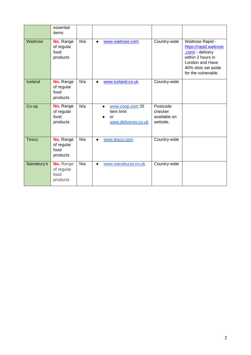|              | essential<br>items                          |     |                                                                         |                                                 |                                                                                                                                                      |
|--------------|---------------------------------------------|-----|-------------------------------------------------------------------------|-------------------------------------------------|------------------------------------------------------------------------------------------------------------------------------------------------------|
| Waitrose     | No. Range<br>of regular<br>food<br>products | N/a | www.waitrose.com<br>$\bullet$                                           | Country-wide                                    | Waitrose Rapid -<br>https://rapid.waitrose<br>.com/ - delivery<br>within 2 hours in<br>London and Have<br>40% slots set aside<br>for the vulnerable. |
| Iceland      | No. Range<br>of regular<br>food<br>products | N/a | www.iceland.co.uk<br>$\bullet$                                          | Country-wide                                    |                                                                                                                                                      |
| Co-op        | No. Range<br>of regular<br>food<br>products | N/a | www.coop.com 25<br>$\bullet$<br>item limit<br>or<br>www.deliveroo.co.uk | Postcode<br>checker<br>available on<br>website. |                                                                                                                                                      |
| <b>Tesco</b> | No. Range<br>of regular<br>food<br>products | N/a | www.tesco.com                                                           | Country-wide                                    |                                                                                                                                                      |
| Sainsbury's  | No. Range<br>of regular<br>food<br>products | N/a | www.sainsburys.co.uk<br>$\bullet$                                       | Country-wide                                    |                                                                                                                                                      |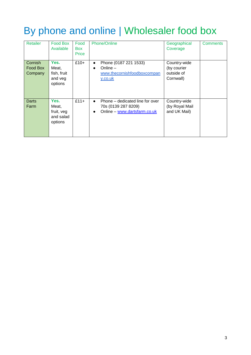#### By phone and online | Wholesaler food box

| <b>Retailer</b>                | <b>Food Box</b><br>Available                        | Food<br><b>Box</b><br>Price | Phone/Online                                                                                            | Geographical<br>Coverage                               | <b>Comments</b> |
|--------------------------------|-----------------------------------------------------|-----------------------------|---------------------------------------------------------------------------------------------------------|--------------------------------------------------------|-----------------|
| Cornish<br>Food Box<br>Company | Yes.<br>Meat,<br>fish, fruit<br>and veg<br>options  | $£10+$                      | Phone (0187 221 1533)<br>$\bullet$<br>Online $-$<br>$\bullet$<br>www.thecornishfoodboxcompan<br>y.co.uk | Country-wide<br>(by courier<br>outside of<br>Cornwall) |                 |
| Darts<br>Farm                  | Yes.<br>Meat,<br>fruit, veg<br>and salad<br>options | $£11+$                      | Phone – dedicated line for over<br>70s (0139 287 8209)<br>Online - www.dartsfarm.co.uk                  | Country-wide<br>(by Royal Mail<br>and UK Mail)         |                 |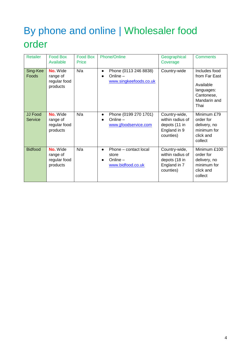### By phone and online | Wholesaler food order

| <b>Retailer</b>           | <b>Food Box</b><br>Available                     | <b>Food Box</b><br><b>Price</b> | Phone/Online                                                                   | Geographical<br>Coverage                                                        | <b>Comments</b>                                                                                 |
|---------------------------|--------------------------------------------------|---------------------------------|--------------------------------------------------------------------------------|---------------------------------------------------------------------------------|-------------------------------------------------------------------------------------------------|
| Sing-Kee<br>Foods         | No. Wide<br>range of<br>regular food<br>products | N/a                             | Phone (0113 246 8838)<br>$\bullet$<br>Online $-$<br>www.singkeefoods.co.uk     | Country-wide                                                                    | Includes food<br>from Far East<br>Available<br>languages:<br>Cantonese,<br>Mandarin and<br>Thai |
| <b>JJ Food</b><br>Service | No. Wide<br>range of<br>regular food<br>products | N/a                             | Phone (0199 270 1701)<br>$\bullet$<br>Online-<br>www.jjfoodservice.com         | Country-wide,<br>within radius of<br>depots (11 in<br>England in 9<br>counties) | Minimum £79<br>order for<br>delivery, no<br>minimum for<br>click and<br>collect                 |
| <b>Bidfood</b>            | No. Wide<br>range of<br>regular food<br>products | N/a                             | Phone – contact local<br>$\bullet$<br>store<br>Online $-$<br>www.bidfood.co.uk | Country-wide,<br>within radius of<br>depots (18 in<br>England in 7<br>counties) | Minimum £100<br>order for<br>delivery, no<br>minimum for<br>click and<br>collect                |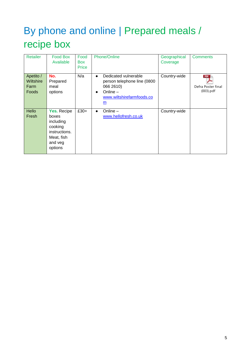## By phone and online | Prepared meals / recipe box

| <b>Retailer</b>                                | Food Box<br>Available                                                                             | Food<br><b>Box</b><br>Price | <b>Phone/Online</b>                                                                                                                                               | Geographical<br>Coverage | <b>Comments</b>                                  |
|------------------------------------------------|---------------------------------------------------------------------------------------------------|-----------------------------|-------------------------------------------------------------------------------------------------------------------------------------------------------------------|--------------------------|--------------------------------------------------|
| Apetito /<br><b>Wiltshire</b><br>Farm<br>Foods | No.<br>Prepared<br>meal<br>options                                                                | N/a                         | Dedicated vulnerable<br>$\bullet$<br>person telephone line (0800<br>066 2610)<br>Online $-$<br>$\bullet$<br>www.wiltshirefarmfoods.co<br>$\underline{\mathsf{m}}$ | Country-wide             | <b>PDF</b><br>Defra Poster final<br>$(003)$ .pdf |
| Hello<br>Fresh                                 | Yes. Recipe<br>boxes<br>including<br>cooking<br>instructions.<br>Meat, fish<br>and veg<br>options | $£30+$                      | Online $-$<br>$\bullet$<br>www.hellofresh.co.uk                                                                                                                   | Country-wide             |                                                  |